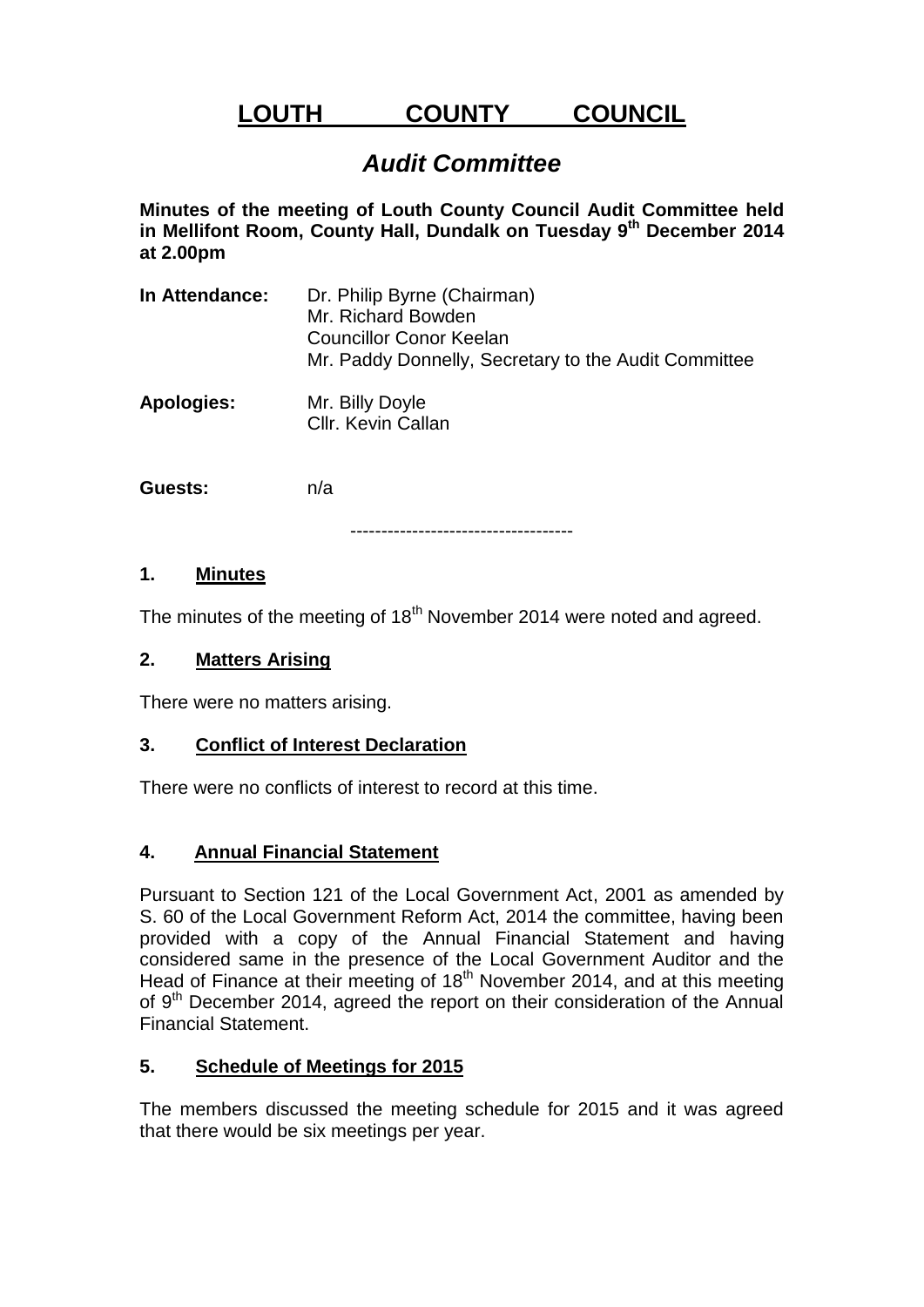# **LOUTH COUNTY COUNCIL**

# *Audit Committee*

**Minutes of the meeting of Louth County Council Audit Committee held in Mellifont Room, County Hall, Dundalk on Tuesday 9 th December 2014 at 2.00pm**

- **In Attendance:** Dr. Philip Byrne (Chairman) Mr. Richard Bowden Councillor Conor Keelan Mr. Paddy Donnelly, Secretary to the Audit Committee
- **Apologies:** Mr. Billy Doyle Cllr. Kevin Callan

**Guests:** n/a

------------------------------------

#### **1. Minutes**

The minutes of the meeting of 18<sup>th</sup> November 2014 were noted and agreed.

#### **2. Matters Arising**

There were no matters arising.

# **3. Conflict of Interest Declaration**

There were no conflicts of interest to record at this time.

# **4. Annual Financial Statement**

Pursuant to Section 121 of the Local Government Act, 2001 as amended by S. 60 of the Local Government Reform Act, 2014 the committee, having been provided with a copy of the Annual Financial Statement and having considered same in the presence of the Local Government Auditor and the Head of Finance at their meeting of 18<sup>th</sup> November 2014, and at this meeting of 9<sup>th</sup> December 2014, agreed the report on their consideration of the Annual Financial Statement.

# **5. Schedule of Meetings for 2015**

The members discussed the meeting schedule for 2015 and it was agreed that there would be six meetings per year.